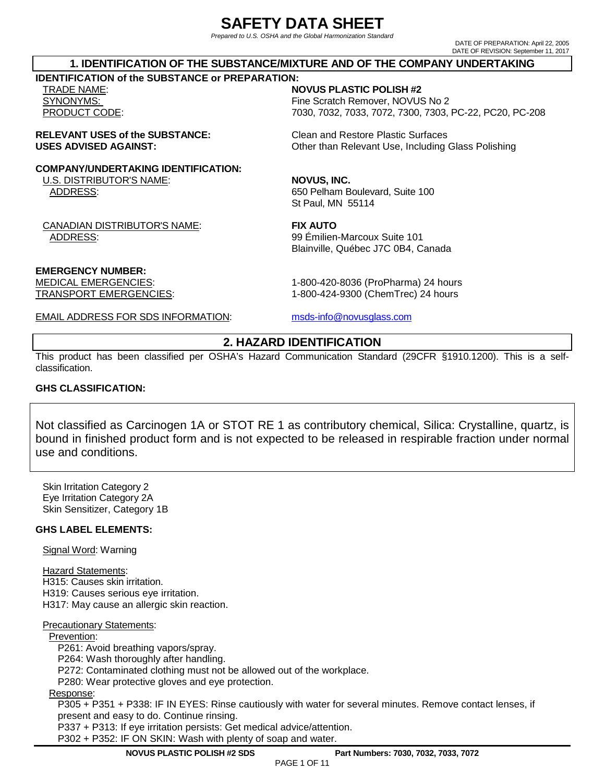## **SAFETY DATA SHEET**

Prepared to U.S. OSHA and the Global Harmonization Standard

DATE OF PREPARATION: April 22, 2005 DATE OF REVISION: September 11, 2017

### **1. IDENTIFICATION OF THE SUBSTANCE/MIXTURE AND OF THE COMPANY UNDERTAKING**

### **IDENTIFICATION of the SUBSTANCE or PREPARATION:**

### TRADE NAME: **NOVUS PLASTIC POLISH #2**

SYNONYMS: STRONG REMOVER THE SCRATCH REMOVER, NOVUS No 2 PRODUCT CODE: 7030, 7032, 7033, 7072, 7300, 7303, PC-22, PC20, PC-208

### **RELEVANT USES of the SUBSTANCE:** Clean and Restore Plastic Surfaces **USES ADVISED AGAINST:** Other than Relevant Use, Including Glass Polishing

### **COMPANY/UNDERTAKING IDENTIFICATION:**

U.S. DISTRIBUTOR'S NAME: **NOVUS, INC.** ADDRESS: 650 Pelham Boulevard, Suite 100

CANADIAN DISTRIBUTOR'S NAME: **FIX AUTO**  ADDRESS: 99 Émilien-Marcoux Suite 101

St Paul, MN 55114

Blainville, Québec J7C 0B4, Canada

MEDICAL EMERGENCIES: 1-800-420-8036 (ProPharma) 24 hours TRANSPORT EMERGENCIES: 1-800-424-9300 (ChemTrec) 24 hours

EMAIL ADDRESS FOR SDS INFORMATION: msds-info@novusglass.com

### **2. HAZARD IDENTIFICATION**

This product has been classified per OSHA's Hazard Communication Standard (29CFR §1910.1200). This is a selfclassification.

### **GHS CLASSIFICATION:**

**EMERGENCY NUMBER:** 

Not classified as Carcinogen 1A or STOT RE 1 as contributory chemical, Silica: Crystalline, quartz, is bound in finished product form and is not expected to be released in respirable fraction under normal use and conditions.

Skin Irritation Category 2 Eye Irritation Category 2A Skin Sensitizer, Category 1B

### **GHS LABEL ELEMENTS:**

Signal Word: Warning

Hazard Statements:

H315: Causes skin irritation. H319: Causes serious eye irritation. H317: May cause an allergic skin reaction.

#### Precautionary Statements:

### Prevention:

P261: Avoid breathing vapors/spray.

P264: Wash thoroughly after handling.

P272: Contaminated clothing must not be allowed out of the workplace.

P280: Wear protective gloves and eye protection.

### Response:

P305 + P351 + P338: IF IN EYES: Rinse cautiously with water for several minutes. Remove contact lenses, if present and easy to do. Continue rinsing.

P337 + P313: If eye irritation persists: Get medical advice/attention.

P302 + P352: IF ON SKIN: Wash with plenty of soap and water.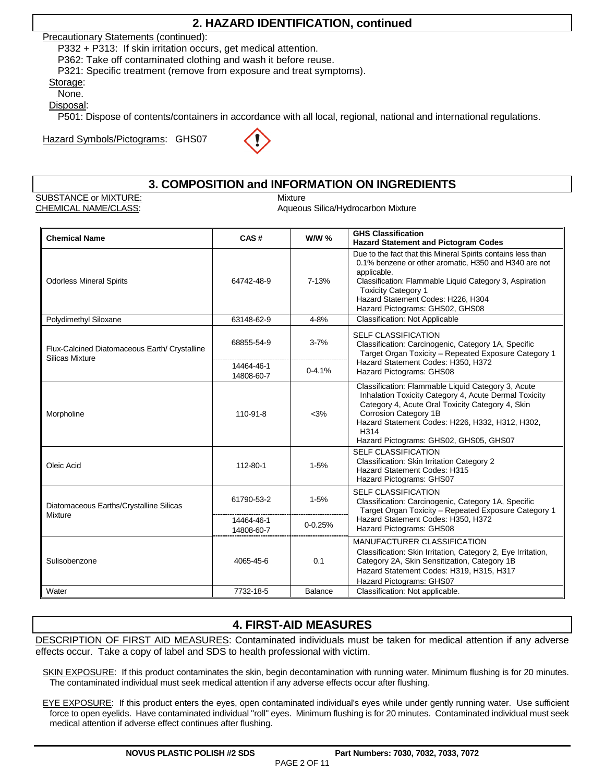### **2. HAZARD IDENTIFICATION, continued**

Precautionary Statements (continued):

P332 + P313: If skin irritation occurs, get medical attention.

P362: Take off contaminated clothing and wash it before reuse.

P321: Specific treatment (remove from exposure and treat symptoms).

#### Storage: None.

Disposal:

P501: Dispose of contents/containers in accordance with all local, regional, national and international regulations.

Hazard Symbols/Pictograms: GHS07



### **3. COMPOSITION and INFORMATION ON INGREDIENTS**

SUBSTANCE or MIXTURE: Mixture

CHEMICAL NAME/CLASS: Annual CHEMICAL NAME/CLASS: Aqueous Silica/Hydrocarbon Mixture

| <b>Chemical Name</b>                                             | CAS#                     | <b>W/W %</b> | <b>GHS Classification</b><br><b>Hazard Statement and Pictogram Codes</b>                                                                                                                                                                                                                               |  |  |
|------------------------------------------------------------------|--------------------------|--------------|--------------------------------------------------------------------------------------------------------------------------------------------------------------------------------------------------------------------------------------------------------------------------------------------------------|--|--|
| <b>Odorless Mineral Spirits</b>                                  | 64742-48-9               | 7-13%        | Due to the fact that this Mineral Spirits contains less than<br>0.1% benzene or other aromatic, H350 and H340 are not<br>applicable.<br>Classification: Flammable Liquid Category 3, Aspiration<br><b>Toxicity Category 1</b><br>Hazard Statement Codes: H226, H304<br>Hazard Pictograms: GHS02, GHS08 |  |  |
| Polydimethyl Siloxane                                            | 63148-62-9               | 4-8%         | <b>Classification: Not Applicable</b>                                                                                                                                                                                                                                                                  |  |  |
| Flux-Calcined Diatomaceous Earth/ Crystalline<br>Silicas Mixture | 68855-54-9               | $3 - 7%$     | <b>SELF CLASSIFICATION</b><br>Classification: Carcinogenic, Category 1A, Specific<br>Target Organ Toxicity - Repeated Exposure Category 1                                                                                                                                                              |  |  |
|                                                                  | 14464-46-1<br>14808-60-7 | $0-4.1%$     | Hazard Statement Codes: H350, H372<br>Hazard Pictograms: GHS08                                                                                                                                                                                                                                         |  |  |
| Morpholine                                                       | 110-91-8                 | $<$ 3%       | Classification: Flammable Liquid Category 3, Acute<br>Inhalation Toxicity Category 4, Acute Dermal Toxicity<br>Category 4, Acute Oral Toxicity Category 4, Skin<br>Corrosion Category 1B<br>Hazard Statement Codes: H226, H332, H312, H302,<br>H314<br>Hazard Pictograms: GHS02, GHS05, GHS07          |  |  |
| Oleic Acid                                                       | 112-80-1                 | $1 - 5%$     | <b>SELF CLASSIFICATION</b><br>Classification: Skin Irritation Category 2<br>Hazard Statement Codes: H315<br>Hazard Pictograms: GHS07                                                                                                                                                                   |  |  |
| Diatomaceous Earths/Crystalline Silicas<br><b>Mixture</b>        | 61790-53-2               | $1 - 5%$     | <b>SELF CLASSIFICATION</b><br>Classification: Carcinogenic, Category 1A, Specific<br>Target Organ Toxicity - Repeated Exposure Category 1                                                                                                                                                              |  |  |
|                                                                  | 14464-46-1<br>14808-60-7 | $0 - 0.25%$  | Hazard Statement Codes: H350, H372<br>Hazard Pictograms: GHS08                                                                                                                                                                                                                                         |  |  |
| Sulisobenzone                                                    | 4065-45-6                | 0.1          | MANUFACTURER CLASSIFICATION<br>Classification: Skin Irritation, Category 2, Eye Irritation,<br>Category 2A, Skin Sensitization, Category 1B<br>Hazard Statement Codes: H319, H315, H317<br>Hazard Pictograms: GHS07                                                                                    |  |  |
| Water                                                            | 7732-18-5                | Balance      | Classification: Not applicable.                                                                                                                                                                                                                                                                        |  |  |

### **4. FIRST-AID MEASURES**

DESCRIPTION OF FIRST AID MEASURES: Contaminated individuals must be taken for medical attention if any adverse effects occur. Take a copy of label and SDS to health professional with victim.

SKIN EXPOSURE: If this product contaminates the skin, begin decontamination with running water. Minimum flushing is for 20 minutes. The contaminated individual must seek medical attention if any adverse effects occur after flushing.

EYE EXPOSURE: If this product enters the eyes, open contaminated individual's eyes while under gently running water. Use sufficient force to open eyelids. Have contaminated individual "roll" eyes. Minimum flushing is for 20 minutes. Contaminated individual must seek medical attention if adverse effect continues after flushing.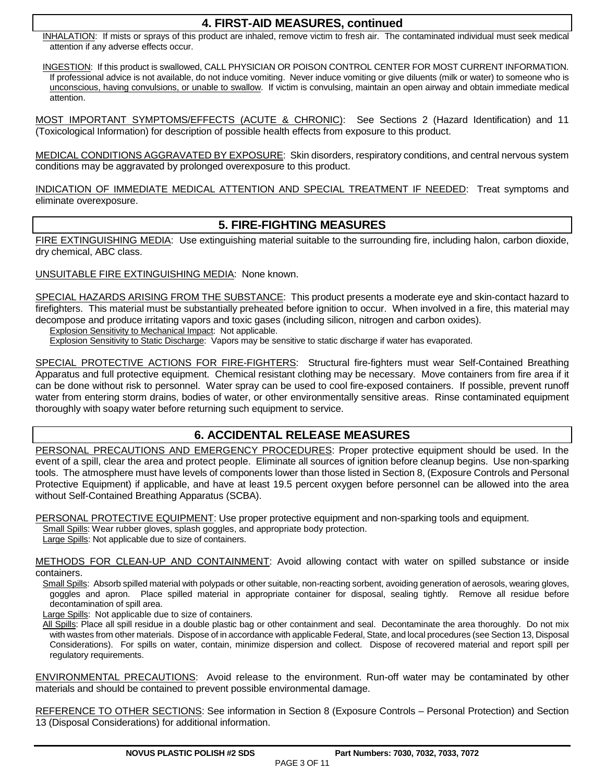### **4. FIRST-AID MEASURES, continued**

INHALATION: If mists or sprays of this product are inhaled, remove victim to fresh air. The contaminated individual must seek medical attention if any adverse effects occur.

INGESTION: If this product is swallowed, CALL PHYSICIAN OR POISON CONTROL CENTER FOR MOST CURRENT INFORMATION. If professional advice is not available, do not induce vomiting. Never induce vomiting or give diluents (milk or water) to someone who is unconscious, having convulsions, or unable to swallow. If victim is convulsing, maintain an open airway and obtain immediate medical attention.

MOST IMPORTANT SYMPTOMS/EFFECTS (ACUTE & CHRONIC): See Sections 2 (Hazard Identification) and 11 (Toxicological Information) for description of possible health effects from exposure to this product.

MEDICAL CONDITIONS AGGRAVATED BY EXPOSURE: Skin disorders, respiratory conditions, and central nervous system conditions may be aggravated by prolonged overexposure to this product.

INDICATION OF IMMEDIATE MEDICAL ATTENTION AND SPECIAL TREATMENT IF NEEDED: Treat symptoms and eliminate overexposure.

### **5. FIRE-FIGHTING MEASURES**

FIRE EXTINGUISHING MEDIA: Use extinguishing material suitable to the surrounding fire, including halon, carbon dioxide, dry chemical, ABC class.

### UNSUITABLE FIRE EXTINGUISHING MEDIA: None known.

SPECIAL HAZARDS ARISING FROM THE SUBSTANCE: This product presents a moderate eye and skin-contact hazard to firefighters. This material must be substantially preheated before ignition to occur. When involved in a fire, this material may decompose and produce irritating vapors and toxic gases (including silicon, nitrogen and carbon oxides).

Explosion Sensitivity to Mechanical Impact: Not applicable.

Explosion Sensitivity to Static Discharge: Vapors may be sensitive to static discharge if water has evaporated.

SPECIAL PROTECTIVE ACTIONS FOR FIRE-FIGHTERS: Structural fire-fighters must wear Self-Contained Breathing Apparatus and full protective equipment. Chemical resistant clothing may be necessary. Move containers from fire area if it can be done without risk to personnel. Water spray can be used to cool fire-exposed containers. If possible, prevent runoff water from entering storm drains, bodies of water, or other environmentally sensitive areas. Rinse contaminated equipment thoroughly with soapy water before returning such equipment to service.

### **6. ACCIDENTAL RELEASE MEASURES**

PERSONAL PRECAUTIONS AND EMERGENCY PROCEDURES: Proper protective equipment should be used. In the event of a spill, clear the area and protect people. Eliminate all sources of ignition before cleanup begins. Use non-sparking tools. The atmosphere must have levels of components lower than those listed in Section 8, (Exposure Controls and Personal Protective Equipment) if applicable, and have at least 19.5 percent oxygen before personnel can be allowed into the area without Self-Contained Breathing Apparatus (SCBA).

PERSONAL PROTECTIVE EQUIPMENT: Use proper protective equipment and non-sparking tools and equipment.

Small Spills: Wear rubber gloves, splash goggles, and appropriate body protection.

Large Spills: Not applicable due to size of containers.

METHODS FOR CLEAN-UP AND CONTAINMENT: Avoid allowing contact with water on spilled substance or inside containers.

Small Spills: Absorb spilled material with polypads or other suitable, non-reacting sorbent, avoiding generation of aerosols, wearing gloves, goggles and apron. Place spilled material in appropriate container for disposal, sealing tightly. Remove all residue before decontamination of spill area.

Large Spills: Not applicable due to size of containers.

All Spills: Place all spill residue in a double plastic bag or other containment and seal. Decontaminate the area thoroughly. Do not mix with wastes from other materials. Dispose of in accordance with applicable Federal, State, and local procedures (see Section 13, Disposal Considerations). For spills on water, contain, minimize dispersion and collect. Dispose of recovered material and report spill per regulatory requirements.

ENVIRONMENTAL PRECAUTIONS: Avoid release to the environment. Run-off water may be contaminated by other materials and should be contained to prevent possible environmental damage.

REFERENCE TO OTHER SECTIONS: See information in Section 8 (Exposure Controls – Personal Protection) and Section 13 (Disposal Considerations) for additional information.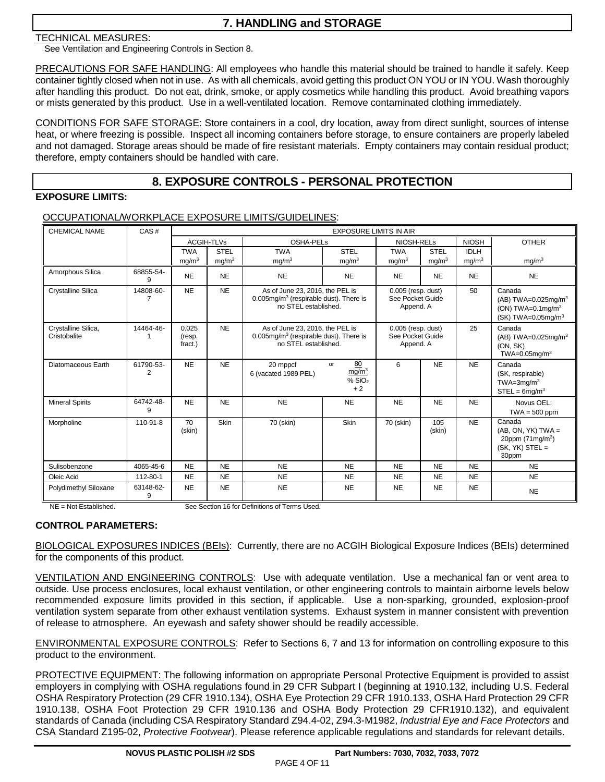### **7. HANDLING and STORAGE**

### TECHNICAL MEASURES:

See Ventilation and Engineering Controls in Section 8.

PRECAUTIONS FOR SAFE HANDLING: All employees who handle this material should be trained to handle it safely. Keep container tightly closed when not in use. As with all chemicals, avoid getting this product ON YOU or IN YOU. Wash thoroughly after handling this product. Do not eat, drink, smoke, or apply cosmetics while handling this product. Avoid breathing vapors or mists generated by this product. Use in a well-ventilated location. Remove contaminated clothing immediately.

CONDITIONS FOR SAFE STORAGE: Store containers in a cool, dry location, away from direct sunlight, sources of intense heat, or where freezing is possible. Inspect all incoming containers before storage, to ensure containers are properly labeled and not damaged. Storage areas should be made of fire resistant materials. Empty containers may contain residual product; therefore, empty containers should be handled with care.

### **8. EXPOSURE CONTROLS - PERSONAL PROTECTION**

### **EXPOSURE LIMITS:**

### OCCUPATIONAL/WORKPLACE EXPOSURE LIMITS/GUIDELINES:

| <b>CHEMICAL NAME</b>                | CAS#           | <b>EXPOSURE LIMITS IN AIR</b> |                   |                                                                                                                  |                                                             |                                                       |                   |                   |                                                                                                                |
|-------------------------------------|----------------|-------------------------------|-------------------|------------------------------------------------------------------------------------------------------------------|-------------------------------------------------------------|-------------------------------------------------------|-------------------|-------------------|----------------------------------------------------------------------------------------------------------------|
|                                     |                |                               | <b>ACGIH-TLVs</b> | <b>OSHA-PELs</b>                                                                                                 |                                                             | NIOSH-RELs                                            |                   | <b>NIOSH</b>      | <b>OTHER</b>                                                                                                   |
|                                     |                | <b>TWA</b>                    | <b>STEL</b>       | <b>TWA</b>                                                                                                       | <b>STEL</b>                                                 | <b>TWA</b>                                            | <b>STEL</b>       | <b>IDLH</b>       |                                                                                                                |
|                                     |                | mg/m <sup>3</sup>             | mg/m <sup>3</sup> | mg/m <sup>3</sup>                                                                                                | mg/m <sup>3</sup>                                           | mg/m <sup>3</sup>                                     | mg/m <sup>3</sup> | mg/m <sup>3</sup> | mg/m <sup>3</sup>                                                                                              |
| Amorphous Silica                    | 68855-54-<br>9 | <b>NE</b>                     | <b>NE</b>         | <b>NE</b>                                                                                                        | <b>NE</b>                                                   | <b>NE</b>                                             | <b>NE</b>         | <b>NE</b>         | <b>NE</b>                                                                                                      |
| <b>Crystalline Silica</b>           | 14808-60-<br>7 | <b>NE</b>                     | <b>NE</b>         | As of June 23, 2016, the PEL is<br>$0.005$ mg/m <sup>3</sup> (respirable dust). There is<br>no STEL established. |                                                             | $0.005$ (resp. dust)<br>See Pocket Guide<br>Append. A |                   | 50                | Canada<br>(AB) TWA=0.025mg/m <sup>3</sup><br>(ON) TWA=0.1mg/m <sup>3</sup><br>$(SK)$ TWA=0.05mg/m <sup>3</sup> |
| Crystalline Silica,<br>Cristobalite | 14464-46-      | 0.025<br>(resp.<br>fract.)    | <b>NE</b>         | As of June 23, 2016, the PEL is<br>$0.005$ mg/m <sup>3</sup> (respirable dust). There is<br>no STEL established. |                                                             | 0.005 (resp. dust)<br>See Pocket Guide<br>Append. A   |                   | 25                | Canada<br>(AB) TWA=0.025mg/m <sup>3</sup><br>(ON, SK)<br>TWA=0.05 $mq/m3$                                      |
| Diatomaceous Earth                  | 61790-53-<br>2 | <b>NE</b>                     | <b>NE</b>         | 20 mppcf<br>6 (vacated 1989 PEL)                                                                                 | 80<br>or<br>mg/m <sup>3</sup><br>% SiO <sub>2</sub><br>$+2$ | 6                                                     | <b>NE</b>         | <b>NE</b>         | Canada<br>(SK, respirable)<br>$TWA=3mq/m^3$<br>$STEL = 6$ mg/m <sup>3</sup>                                    |
| <b>Mineral Spirits</b>              | 64742-48-<br>9 | <b>NE</b>                     | <b>NE</b>         | <b>NE</b>                                                                                                        | <b>NE</b>                                                   | <b>NE</b>                                             | <b>NE</b>         | <b>NE</b>         | Novus OEL:<br>$TWA = 500$ ppm                                                                                  |
| Morpholine                          | 110-91-8       | 70<br>(skin)                  | Skin              | 70 (skin)                                                                                                        | Skin                                                        | 70 (skin)                                             | 105<br>(skin)     | <b>NE</b>         | Canada<br>$(AB, ON, YK) TWA =$<br>20ppm $(71mg/m3)$<br>$(SK, YK)$ STEL =<br>30ppm                              |
| Sulisobenzone                       | 4065-45-6      | <b>NE</b>                     | <b>NE</b>         | <b>NE</b>                                                                                                        | <b>NE</b>                                                   | <b>NE</b>                                             | <b>NE</b>         | <b>NE</b>         | <b>NE</b>                                                                                                      |
| Oleic Acid                          | 112-80-1       | <b>NE</b>                     | <b>NE</b>         | <b>NE</b>                                                                                                        | <b>NE</b>                                                   | <b>NE</b>                                             | <b>NE</b>         | <b>NE</b>         | <b>NE</b>                                                                                                      |
| Polydimethyl Siloxane               | 63148-62-<br>9 | <b>NE</b>                     | <b>NE</b>         | <b>NE</b>                                                                                                        | <b>NE</b>                                                   | <b>NE</b>                                             | <b>NE</b>         | <b>NE</b>         | <b>NE</b>                                                                                                      |

NE = Not Established. See Section 16 for Definitions of Terms Used.

### **CONTROL PARAMETERS:**

BIOLOGICAL EXPOSURES INDICES (BEIs): Currently, there are no ACGIH Biological Exposure Indices (BEIs) determined for the components of this product.

VENTILATION AND ENGINEERING CONTROLS: Use with adequate ventilation. Use a mechanical fan or vent area to outside. Use process enclosures, local exhaust ventilation, or other engineering controls to maintain airborne levels below recommended exposure limits provided in this section, if applicable. Use a non-sparking, grounded, explosion-proof ventilation system separate from other exhaust ventilation systems. Exhaust system in manner consistent with prevention of release to atmosphere. An eyewash and safety shower should be readily accessible.

ENVIRONMENTAL EXPOSURE CONTROLS: Refer to Sections 6, 7 and 13 for information on controlling exposure to this product to the environment.

PROTECTIVE EQUIPMENT: The following information on appropriate Personal Protective Equipment is provided to assist employers in complying with OSHA regulations found in 29 CFR Subpart I (beginning at 1910.132, including U.S. Federal OSHA Respiratory Protection (29 CFR 1910.134), OSHA Eye Protection 29 CFR 1910.133, OSHA Hard Protection 29 CFR 1910.138, OSHA Foot Protection 29 CFR 1910.136 and OSHA Body Protection 29 CFR1910.132), and equivalent standards of Canada (including CSA Respiratory Standard Z94.4-02, Z94.3-M1982, Industrial Eye and Face Protectors and CSA Standard Z195-02, Protective Footwear). Please reference applicable regulations and standards for relevant details.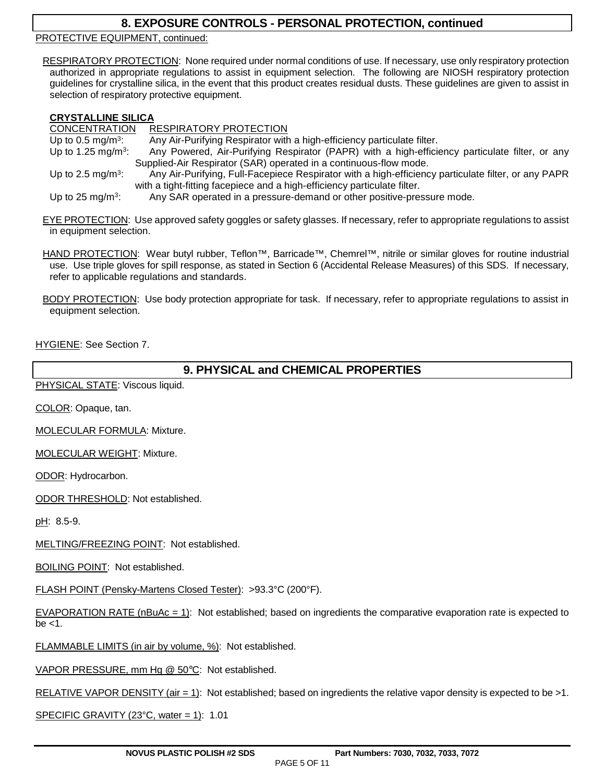### **8. EXPOSURE CONTROLS - PERSONAL PROTECTION, continued**

PROTECTIVE EQUIPMENT, continued:

RESPIRATORY PROTECTION: None required under normal conditions of use. If necessary, use only respiratory protection authorized in appropriate regulations to assist in equipment selection. The following are NIOSH respiratory protection guidelines for crystalline silica, in the event that this product creates residual dusts. These guidelines are given to assist in selection of respiratory protective equipment.

### **CRYSTALLINE SILICA**

CONCENTRATION RESPIRATORY PROTECTION Up to 0.5 mg/m<sup>3</sup>: : Any Air-Purifying Respirator with a high-efficiency particulate filter. Up to  $1.25$  mg/m<sup>3</sup>: : Any Powered, Air-Purifying Respirator (PAPR) with a high-efficiency particulate filter, or any Supplied-Air Respirator (SAR) operated in a continuous-flow mode. Up to 2.5 mg/ $m^3$ : : Any Air-Purifying, Full-Facepiece Respirator with a high-efficiency particulate filter, or any PAPR with a tight-fitting facepiece and a high-efficiency particulate filter. Up to 25 mg/m<sup>3</sup>: : Any SAR operated in a pressure-demand or other positive-pressure mode.

EYE PROTECTION: Use approved safety goggles or safety glasses. If necessary, refer to appropriate regulations to assist in equipment selection.

HAND PROTECTION: Wear butyl rubber, Teflon™, Barricade™, Chemrel™, nitrile or similar gloves for routine industrial use. Use triple gloves for spill response, as stated in Section 6 (Accidental Release Measures) of this SDS. If necessary, refer to applicable regulations and standards.

BODY PROTECTION: Use body protection appropriate for task. If necessary, refer to appropriate regulations to assist in equipment selection.

HYGIENE: See Section 7.

### **9. PHYSICAL and CHEMICAL PROPERTIES**

PHYSICAL STATE: Viscous liquid.

COLOR: Opaque, tan.

MOLECULAR FORMULA: Mixture.

MOLECULAR WEIGHT: Mixture.

ODOR: Hydrocarbon.

ODOR THRESHOLD: Not established.

pH: 8.5-9.

MELTING/FREEZING POINT: Not established.

BOILING POINT: Not established.

FLASH POINT (Pensky-Martens Closed Tester): >93.3°C (200°F).

EVAPORATION RATE (nBuAc = 1): Not established; based on ingredients the comparative evaporation rate is expected to be <1.

FLAMMABLE LIMITS (in air by volume, %): Not established.

VAPOR PRESSURE, mm Hg @ 50°C: Not established.

RELATIVE VAPOR DENSITY (air = 1): Not established; based on ingredients the relative vapor density is expected to be >1.

SPECIFIC GRAVITY (23 $^{\circ}$ C, water = 1): 1.01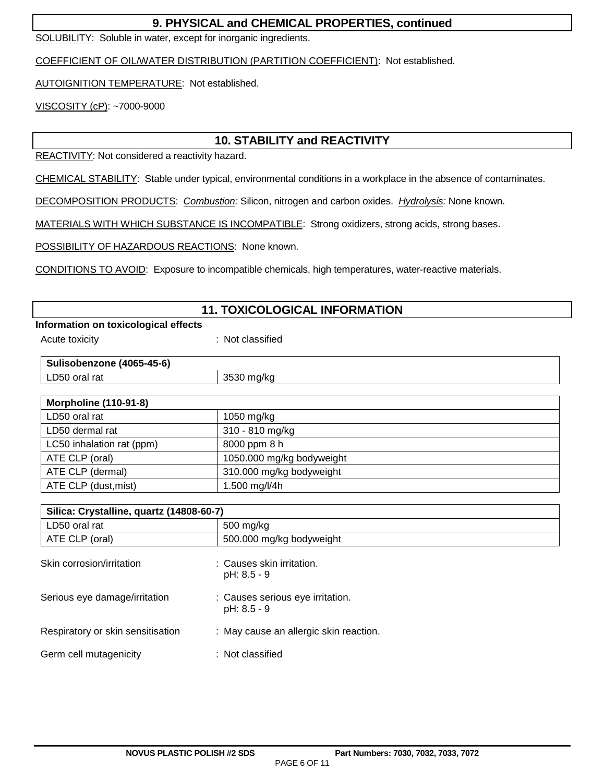### **9. PHYSICAL and CHEMICAL PROPERTIES, continued**

SOLUBILITY: Soluble in water, except for inorganic ingredients.

COEFFICIENT OF OIL/WATER DISTRIBUTION (PARTITION COEFFICIENT): Not established.

AUTOIGNITION TEMPERATURE: Not established.

VISCOSITY (cP): ~7000-9000

## **10. STABILITY and REACTIVITY**

REACTIVITY: Not considered a reactivity hazard.

CHEMICAL STABILITY: Stable under typical, environmental conditions in a workplace in the absence of contaminates.

DECOMPOSITION PRODUCTS: Combustion: Silicon, nitrogen and carbon oxides. Hydrolysis: None known.

MATERIALS WITH WHICH SUBSTANCE IS INCOMPATIBLE: Strong oxidizers, strong acids, strong bases.

POSSIBILITY OF HAZARDOUS REACTIONS: None known.

CONDITIONS TO AVOID: Exposure to incompatible chemicals, high temperatures, water-reactive materials.

| <b>11. TOXICOLOGICAL INFORMATION</b>     |                                                 |  |
|------------------------------------------|-------------------------------------------------|--|
| Information on toxicological effects     |                                                 |  |
| Acute toxicity                           | : Not classified                                |  |
| Sulisobenzone (4065-45-6)                |                                                 |  |
| LD50 oral rat                            | 3530 mg/kg                                      |  |
| <b>Morpholine (110-91-8)</b>             |                                                 |  |
| LD50 oral rat                            | 1050 mg/kg                                      |  |
| LD50 dermal rat                          | 310 - 810 mg/kg                                 |  |
| LC50 inhalation rat (ppm)                | 8000 ppm 8 h                                    |  |
| ATE CLP (oral)                           | 1050.000 mg/kg bodyweight                       |  |
| ATE CLP (dermal)                         | 310.000 mg/kg bodyweight                        |  |
| ATE CLP (dust, mist)                     | 1.500 mg/l/4h                                   |  |
| Silica: Crystalline, quartz (14808-60-7) |                                                 |  |
| LD50 oral rat                            | 500 mg/kg                                       |  |
| ATE CLP (oral)                           | 500.000 mg/kg bodyweight                        |  |
| Skin corrosion/irritation                | : Causes skin irritation.<br>pH: 8.5 - 9        |  |
| Serious eye damage/irritation            | : Causes serious eye irritation.<br>pH: 8.5 - 9 |  |
| Respiratory or skin sensitisation        | : May cause an allergic skin reaction.          |  |
| Germ cell mutagenicity                   | : Not classified                                |  |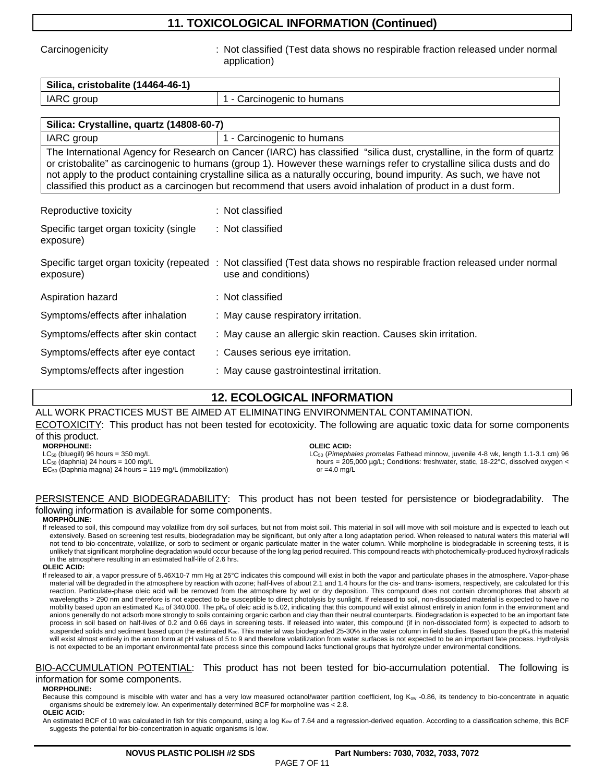### **11. TOXICOLOGICAL INFORMATION (Continued)**

Carcinogenicity **State of the Carcinogenicity** : Not classified (Test data shows no respirable fraction released under normal application)

# **Silica, cristobalite (14464-46-1)** IARC group 1 - Carcinogenic to humans

| Silica: Crystalline, quartz (14808-60-7)                                                                                                                                                                                                                                                                                                                                |                            |  |
|-------------------------------------------------------------------------------------------------------------------------------------------------------------------------------------------------------------------------------------------------------------------------------------------------------------------------------------------------------------------------|----------------------------|--|
| IARC group                                                                                                                                                                                                                                                                                                                                                              | 1 - Carcinogenic to humans |  |
| The International Agency for Research on Cancer (IARC) has classified "silica dust, crystalline, in the form of quartz<br>or cristobalite" as carcinogenic to humans (group 1). However these warnings refer to crystalline silica dusts and do<br>not apply to the product containing crystalline silica as a naturally occuring, bound impurity. As such, we have not |                            |  |
| classified this product as a carcinogen but recommend that users avoid inhalation of product in a dust form.                                                                                                                                                                                                                                                            |                            |  |
|                                                                                                                                                                                                                                                                                                                                                                         |                            |  |

| Reproductive toxicity                               | : Not classified                                                                                                                               |
|-----------------------------------------------------|------------------------------------------------------------------------------------------------------------------------------------------------|
| Specific target organ toxicity (single<br>exposure) | : Not classified                                                                                                                               |
| exposure)                                           | Specific target organ toxicity (repeated : Not classified (Test data shows no respirable fraction released under normal<br>use and conditions) |
| Aspiration hazard                                   | : Not classified                                                                                                                               |
| Symptoms/effects after inhalation                   | : May cause respiratory irritation.                                                                                                            |
| Symptoms/effects after skin contact                 | : May cause an allergic skin reaction. Causes skin irritation.                                                                                 |
| Symptoms/effects after eye contact                  | : Causes serious eye irritation.                                                                                                               |
| Symptoms/effects after ingestion                    | : May cause gastrointestinal irritation.                                                                                                       |

### **12. ECOLOGICAL INFORMATION**

## ALL WORK PRACTICES MUST BE AIMED AT ELIMINATING ENVIRONMENTAL CONTAMINATION.

ECOTOXICITY: This product has not been tested for ecotoxicity. The following are aquatic toxic data for some components of this product.

**MORPHOLINE:** 

 $LC_{50}$  (bluegill) 96 hours = 350 mg/L  $LC_{50}$  (daphnia) 24 hours = 100 mg/L EC50 (Daphnia magna) 24 hours = 119 mg/L (immobilization)

#### **OLEIC ACID:**

LC<sub>50</sub> (Pimephales promelas Fathead minnow, juvenile 4-8 wk, length 1.1-3.1 cm) 96 hours = 205,000 µg/L; Conditions: freshwater, static, 18-22°C, dissolved oxygen < or  $=4.0$  mg/L

### PERSISTENCE AND BIODEGRADABILITY: This product has not been tested for persistence or biodegradability. The following information is available for some components.

#### **MORPHOLINE:**

If released to soil, this compound may volatilize from dry soil surfaces, but not from moist soil. This material in soil will move with soil moisture and is expected to leach out extensively. Based on screening test results, biodegradation may be significant, but only after a long adaptation period. When released to natural waters this material will not tend to bio-concentrate, volatilize, or sorb to sediment or organic particulate matter in the water column. While morpholine is biodegradable in screening tests, it is unlikely that significant morpholine degradation would occur because of the long lag period required. This compound reacts with photochemically-produced hydroxyl radicals in the atmosphere resulting in an estimated half-life of 2.6 hrs.

#### **OLEIC ACID:**

If released to air, a vapor pressure of 5.46X10-7 mm Hg at 25°C indicates this compound will exist in both the vapor and particulate phases in the atmosphere. Vapor-phase material will be degraded in the atmosphere by reaction with ozone; half-lives of about 2.1 and 1.4 hours for the cis- and trans- isomers, respectively, are calculated for this reaction. Particulate-phase oleic acid will be removed from the atmosphere by wet or dry deposition. This compound does not contain chromophores that absorb at wavelengths > 290 nm and therefore is not expected to be susceptible to direct photolysis by sunlight. If released to soil, non-dissociated material is expected to have no mobility based upon an estimated K<sub>oc</sub> of 340,000. The pK<sub>a</sub> of oleic acid is 5.02, indicating that this compound will exist almost entirely in anion form in the environment and anions generally do not adsorb more strongly to soils containing organic carbon and clay than their neutral counterparts. Biodegradation is expected to be an important fate process in soil based on half-lives of 0.2 and 0.66 days in screening tests. If released into water, this compound (if in non-dissociated form) is expected to adsorb to suspended solids and sediment based upon the estimated K<sub>oc</sub>. This material was biodegraded 25-30% in the water column in field studies. Based upon the pK<sub>a</sub> this material will exist almost entirely in the anion form at pH values of 5 to 9 and therefore volatilization from water surfaces is not expected to be an important fate process. Hydrolysis is not expected to be an important environmental fate process since this compound lacks functional groups that hydrolyze under environmental conditions.

#### BIO-ACCUMULATION POTENTIAL: This product has not been tested for bio-accumulation potential. The following is information for some components.

#### **MORPHOLINE:**

Because this compound is miscible with water and has a very low measured octanol/water partition coefficient, log Kow -0.86, its tendency to bio-concentrate in aquatic organisms should be extremely low. An experimentally determined BCF for morpholine was < 2.8.

#### **OLEIC ACID:**

An estimated BCF of 10 was calculated in fish for this compound, using a log K<sub>ow</sub> of 7.64 and a regression-derived equation. According to a classification scheme, this BCF suggests the potential for bio-concentration in aquatic organisms is low.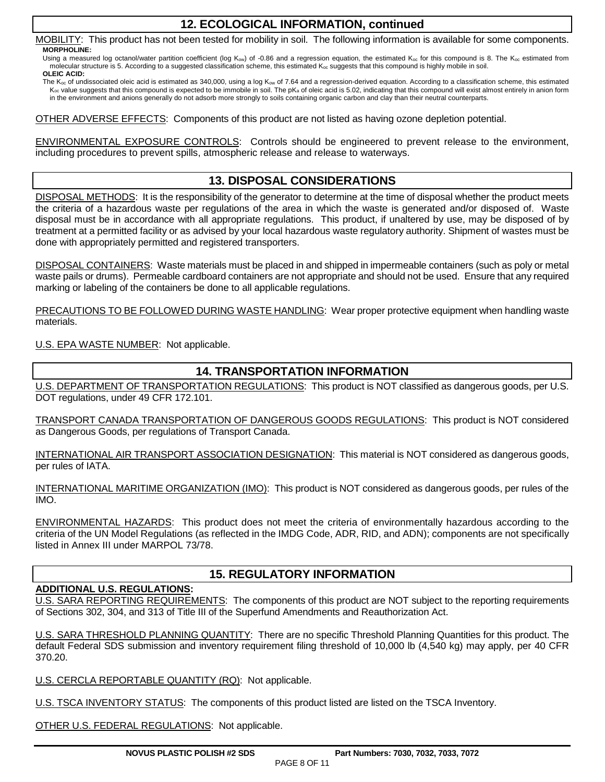### **12. ECOLOGICAL INFORMATION, continued**

MOBILITY: This product has not been tested for mobility in soil. The following information is available for some components. **MORPHOLINE:**

Using a measured log octanol/water partition coefficient (log K<sub>ow</sub>) of -0.86 and a regression equation, the estimated K<sub>oc</sub> for this compound is 8. The K<sub>oc</sub> estimated from molecular structure is 5. According to a suggested classification scheme, this estimated K<sub>oc</sub> suggests that this compound is highly mobile in soil. **OLEIC ACID:**

The K<sub>oc</sub> of undissociated oleic acid is estimated as 340,000, using a log K<sub>ow</sub> of 7.64 and a regression-derived equation. According to a classification scheme, this estimated  $K_{oc}$  value suggests that this compound is expected to be immobile in soil. The p $K_{a}$  of oleic acid is 5.02, indicating that this compound will exist almost entirely in anion form in the environment and anions generally do not adsorb more strongly to soils containing organic carbon and clay than their neutral counterparts.

OTHER ADVERSE EFFECTS: Components of this product are not listed as having ozone depletion potential.

ENVIRONMENTAL EXPOSURE CONTROLS: Controls should be engineered to prevent release to the environment, including procedures to prevent spills, atmospheric release and release to waterways.

### **13. DISPOSAL CONSIDERATIONS**

DISPOSAL METHODS: It is the responsibility of the generator to determine at the time of disposal whether the product meets the criteria of a hazardous waste per regulations of the area in which the waste is generated and/or disposed of. Waste disposal must be in accordance with all appropriate regulations. This product, if unaltered by use, may be disposed of by treatment at a permitted facility or as advised by your local hazardous waste regulatory authority. Shipment of wastes must be done with appropriately permitted and registered transporters.

DISPOSAL CONTAINERS: Waste materials must be placed in and shipped in impermeable containers (such as poly or metal waste pails or drums). Permeable cardboard containers are not appropriate and should not be used. Ensure that any required marking or labeling of the containers be done to all applicable regulations.

PRECAUTIONS TO BE FOLLOWED DURING WASTE HANDLING: Wear proper protective equipment when handling waste materials.

U.S. EPA WASTE NUMBER: Not applicable.

### **14. TRANSPORTATION INFORMATION**

U.S. DEPARTMENT OF TRANSPORTATION REGULATIONS: This product is NOT classified as dangerous goods, per U.S. DOT regulations, under 49 CFR 172.101.

TRANSPORT CANADA TRANSPORTATION OF DANGEROUS GOODS REGULATIONS: This product is NOT considered as Dangerous Goods, per regulations of Transport Canada.

INTERNATIONAL AIR TRANSPORT ASSOCIATION DESIGNATION: This material is NOT considered as dangerous goods, per rules of IATA.

INTERNATIONAL MARITIME ORGANIZATION (IMO): This product is NOT considered as dangerous goods, per rules of the IMO.

ENVIRONMENTAL HAZARDS: This product does not meet the criteria of environmentally hazardous according to the criteria of the UN Model Regulations (as reflected in the IMDG Code, ADR, RID, and ADN); components are not specifically listed in Annex III under MARPOL 73/78.

### **15. REGULATORY INFORMATION**

### **ADDITIONAL U.S. REGULATIONS:**

U.S. SARA REPORTING REQUIREMENTS: The components of this product are NOT subject to the reporting requirements of Sections 302, 304, and 313 of Title III of the Superfund Amendments and Reauthorization Act.

U.S. SARA THRESHOLD PLANNING QUANTITY: There are no specific Threshold Planning Quantities for this product. The default Federal SDS submission and inventory requirement filing threshold of 10,000 lb (4,540 kg) may apply, per 40 CFR 370.20.

U.S. CERCLA REPORTABLE QUANTITY (RQ): Not applicable.

U.S. TSCA INVENTORY STATUS: The components of this product listed are listed on the TSCA Inventory.

OTHER U.S. FEDERAL REGULATIONS: Not applicable.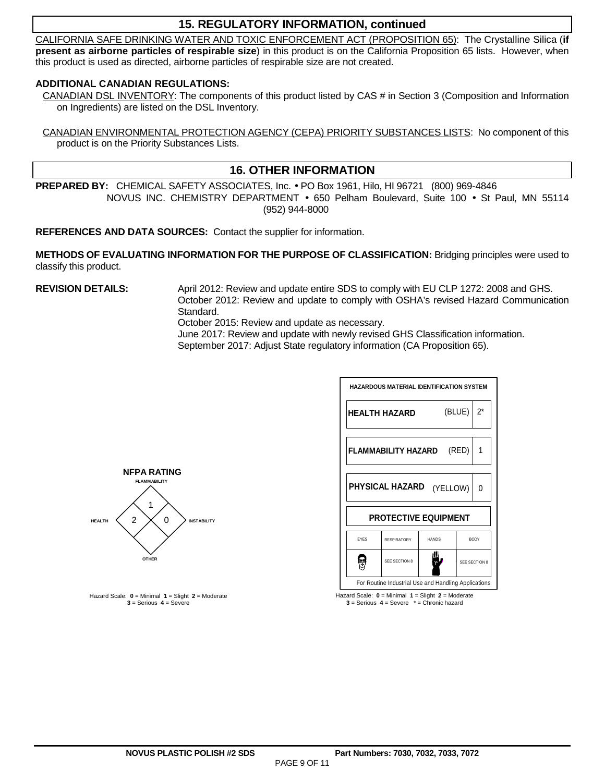### **15. REGULATORY INFORMATION, continued**

CALIFORNIA SAFE DRINKING WATER AND TOXIC ENFORCEMENT ACT (PROPOSITION 65): The Crystalline Silica (**if present as airborne particles of respirable size**) in this product is on the California Proposition 65 lists. However, when this product is used as directed, airborne particles of respirable size are not created.

### **ADDITIONAL CANADIAN REGULATIONS:**

CANADIAN DSL INVENTORY: The components of this product listed by CAS # in Section 3 (Composition and Information on Ingredients) are listed on the DSL Inventory.

CANADIAN ENVIRONMENTAL PROTECTION AGENCY (CEPA) PRIORITY SUBSTANCES LISTS: No component of this product is on the Priority Substances Lists.

### **16. OTHER INFORMATION**

**PREPARED BY:** CHEMICAL SAFETY ASSOCIATES, Inc. • PO Box 1961, Hilo, HI 96721 (800) 969-4846 NOVUS INC. CHEMISTRY DEPARTMENT • 650 Pelham Boulevard, Suite 100 • St Paul, MN 55114 (952) 944-8000

**REFERENCES AND DATA SOURCES:** Contact the supplier for information.

**METHODS OF EVALUATING INFORMATION FOR THE PURPOSE OF CLASSIFICATION:** Bridging principles were used to classify this product.

**REVISION DETAILS:** April 2012: Review and update entire SDS to comply with EU CLP 1272: 2008 and GHS. October 2012: Review and update to comply with OSHA's revised Hazard Communication Standard.

October 2015: Review and update as necessary.

 June 2017: Review and update with newly revised GHS Classification information. September 2017: Adjust State regulatory information (CA Proposition 65).



Hazard Scale: **0** = Minimal **1** = Slight **2** = Moderate **3** = Serious **4** = Severe \* = Chronic hazard



Hazard Scale: **0** = Minimal **1** = Slight **2** = Moderate **3** = Serious **4** = Severe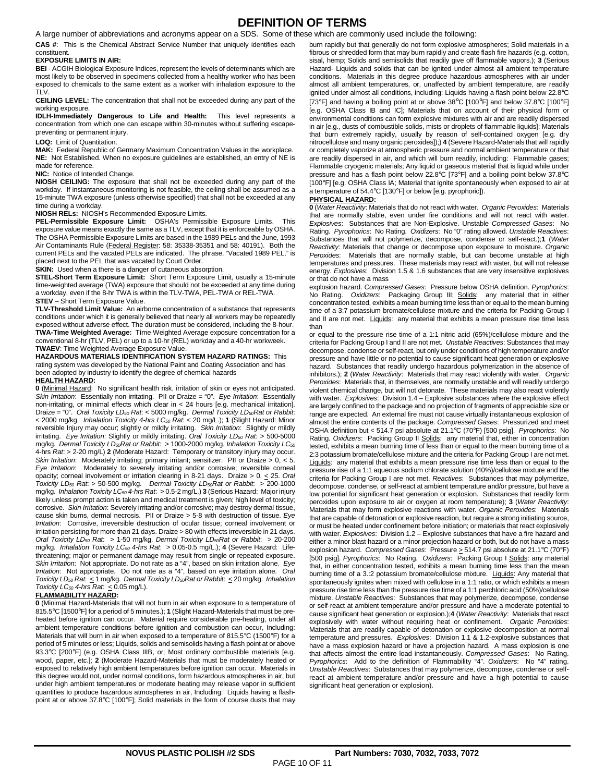### **DEFINITION OF TERMS**

A large number of abbreviations and acronyms appear on a SDS. Some of these which are commonly used include the following:

**CAS #**: This is the Chemical Abstract Service Number that uniquely identifies each constituent.

#### **EXPOSURE LIMITS IN AIR:**

**BEI** - ACGIH Biological Exposure Indices, represent the levels of determinants which are most likely to be observed in specimens collected from a healthy worker who has been exposed to chemicals to the same extent as a worker with inhalation exposure to the TLV.

**CEILING LEVEL:** The concentration that shall not be exceeded during any part of the working exposure.

**IDLH-Immediately Dangerous to Life and Health:** This level represents a concentration from which one can escape within 30-minutes without suffering escapepreventing or permanent injury.

#### **LOQ:** Limit of Quantitation.

**MAK:** Federal Republic of Germany Maximum Concentration Values in the workplace. **NE:** Not Established. When no exposure guidelines are established, an entry of NE is made for reference.

#### **NIC:** Notice of Intended Change.

**NIOSH CEILING:** The exposure that shall not be exceeded during any part of the workday. If instantaneous monitoring is not feasible, the ceiling shall be assumed as a 15-minute TWA exposure (unless otherwise specified) that shall not be exceeded at any time during a workday.

#### **NIOSH RELs:** NIOSH's Recommended Exposure Limits.

**PEL-Permissible Exposure Limit:** OSHA's Permissible Exposure Limits. This exposure value means exactly the same as a TLV, except that it is enforceable by OSHA. The OSHA Permissible Exposure Limits are based in the 1989 PELs and the June, 1993 Air Contaminants Rule (Federal Register: 58: 35338-35351 and 58: 40191). Both the current PELs and the vacated PELs are indicated. The phrase, "Vacated 1989 PEL," is placed next to the PEL that was vacated by Court Order.

**SKIN:** Used when a there is a danger of cutaneous absorption.

**STEL-Short Term Exposure Limit:** Short Term Exposure Limit, usually a 15-minute time-weighted average (TWA) exposure that should not be exceeded at any time during a workday, even if the 8-hr TWA is within the TLV-TWA, PEL-TWA or REL-TWA.

#### **STEV** – Short Term Exposure Value.

**TLV-Threshold Limit Value:** An airborne concentration of a substance that represents conditions under which it is generally believed that nearly all workers may be repeatedly exposed without adverse effect. The duration must be considered, including the 8-hour. **TWA-Time Weighted Average:** T**i**me Weighted Average exposure concentration for a conventional 8-hr (TLV, PEL) or up to a 10-hr (REL) workday and a 40-hr workweek. **TWAEV**: Time Weighted Average Exposure Value.

#### **HAZARDOUS MATERIALS IDENTIFICATION SYSTEM HAZARD RATINGS:** This

rating system was developed by the National Paint and Coating Association and has been adopted by industry to identify the degree of chemical hazards

#### **HEALTH HAZARD:**

**0** (Minimal Hazard: No significant health risk, irritation of skin or eyes not anticipated. Skin Irritation: Essentially non-irritating. PII or Draize = "0". Eye Irritation: Essentially non-irritating, or minimal effects which clear in < 24 hours [e.g. mechanical irritation]. Draize = "0". Oral Toxicity  $LD_{50}$  Rat: < 5000 mg/kg. Dermal Toxicity  $LD_{50}$ Rat or Rabbit: < 2000 mg/kg. Inhalation Toxicity 4-hrs LC<sub>50</sub> Rat: < 20 mg/L.); **1** (Slight Hazard: Minor reversible Injury may occur; slightly or mildly irritating. Skin Irritation: Slightly or mildly irritating. Eye Irritation: Slightly or mildly irritating. Oral Toxicity LD<sub>50</sub> Rat: > 500-5000 mg/kg. Dermal Toxicity LD<sub>50</sub>Rat or Rabbit: > 1000-2000 mg/kg. Inhalation Toxicity LC<sub>50</sub> 4-hrs Rat: > 2-20 mg/L) **2** (Moderate Hazard: Temporary or transitory injury may occur. Skin Irritation: Moderately irritating; primary irritant; sensitizer. PII or Draize > 0, < 5. Eye Irritation: Moderately to severely irritating and/or corrosive; reversible corneal opacity; corneal involvement or irritation clearing in 8-21 days. Draize  $> 0, \leq 25$ . Oral Toxicity LD<sub>50</sub> Rat:  $>$  50-500 mg/kg. Dermal Toxicity LD<sub>50</sub>Rat or Rabbit:  $>$  200-1000 mg/kg. Inhalation Toxicity LC50 4-hrs Rat: > 0.5-2 mg/L.) **3** (Serious Hazard: Major injury likely unless prompt action is taken and medical treatment is given; high level of toxicity; corrosive. Skin Irritation: Severely irritating and/or corrosive; may destroy dermal tissue, cause skin burns, dermal necrosis. PII or Draize > 5-8 with destruction of tissue. Eye Irritation: Corrosive, irreversible destruction of ocular tissue; corneal involvement or irritation persisting for more than 21 days. Draize > 80 with effects irreversible in 21 days. Oral Toxicity  $LD_{50}$  Rat: > 1-50 mg/kg. Dermal Toxicity  $LD_{50}$ Rat or Rabbit: > 20-200 mg/kg. Inhalation Toxicity LC<sub>50</sub> 4-hrs Rat: > 0.05-0.5 mg/L.); 4 (Severe Hazard: Lifethreatening; major or permanent damage may result from single or repeated exposure. Skin Irritation: Not appropriate. Do not rate as a "4", based on skin irritation alone. Eye Irritation: Not appropriate. Do not rate as a "4", based on eye irritation alone. Oral Toxicity LD<sub>50</sub> Rat:  $\leq$  1 mg/kg. Dermal Toxicity LD<sub>50</sub> Rat or Rabbit:  $\leq$  20 mg/kg. Inhalation Toxicity  $LC_{50}$  4-hrs Rat:  $\leq 0.05$  mg/L).

#### **FLAMMABILITY HAZARD:**

**0** (Minimal Hazard-Materials that will not burn in air when exposure to a temperature of 815.5°C [1500°F] for a period of 5 minutes.); **1** (Slight Hazard-Materials that must be preheated before ignition can occur. Material require considerable pre-heating, under all ambient temperature conditions before ignition and combustion can occur, Including: Materials that will burn in air when exposed to a temperature of 815.5°C (1500°F) for a period of 5 minutes or less; Liquids, solids and semisolids having a flash point at or above 93.3°C [200°F] (e.g. OSHA Class IIIB, or; Most ordinary combustible materials [e.g. wood, paper, etc.]; **2** (Moderate Hazard-Materials that must be moderately heated or exposed to relatively high ambient temperatures before ignition can occur. Materials in this degree would not, under normal conditions, form hazardous atmospheres in air, but under high ambient temperatures or moderate heating may release vapor in sufficient quantities to produce hazardous atmospheres in air, Including: Liquids having a flashpoint at or above 37.8°C [100°F]; Solid materials in the form of course dusts that may

burn rapidly but that generally do not form explosive atmospheres; Solid materials in a fibrous or shredded form that may burn rapidly and create flash fire hazards (e.g. cotton, sisal, hemp; Solids and semisolids that readily give off flammable vapors.); **3** (Serious Hazard- Liquids and solids that can be ignited under almost all ambient temperature conditions. Materials in this degree produce hazardous atmospheres with air under almost all ambient temperatures, or, unaffected by ambient temperature, are readily ignited under almost all conditions, including: Liquids having a flash point below 22.8°C [73°F] and having a boiling point at or above 38°C [100°F] and below 37.8°C [100°F] [e.g. OSHA Class IB and IC]; Materials that on account of their physical form or environmental conditions can form explosive mixtures with air and are readily dispersed in air [e.g., dusts of combustible solids, mists or droplets of flammable liquids]; Materials that burn extremely rapidly, usually by reason of self-contained oxygen [e.g. dry nitrocellulose and many organic peroxides]);) **4** (Severe Hazard-Materials that will rapidly or completely vaporize at atmospheric pressure and normal ambient temperature or that are readily dispersed in air, and which will burn readily, including: Flammable gases; Flammable cryogenic materials; Any liquid or gaseous material that is liquid while under pressure and has a flash point below 22.8°C [73°F] and a boiling point below 37.8°C [100°F] [e.g. OSHA Class IA; Material that ignite spontaneously when exposed to air at a temperature of 54.4°C [130°F] or below [e.g. pyrophoric]).

#### **PHYSICAL HAZARD:**

**0** (Water Reactivity: Materials that do not react with water. Organic Peroxides: Materials that are normally stable, even under fire conditions and will not react with water. Explosives: Substances that are Non-Explosive. Unstable Compressed Gases: No Rating. Pyrophorics: No Rating. Oxidizers: No "0" rating allowed. Unstable Reactives: Substances that will not polymerize, decompose, condense or self-react.);**1** (Water Reactivity: Materials that change or decompose upon exposure to moisture. Organic Peroxides: Materials that are normally stable, but can become unstable at high temperatures and pressures. These materials may react with water, but will not release energy. Explosives: Division 1.5 & 1.6 substances that are very insensitive explosives or that do not have a mass

explosion hazard. Compressed Gases: Pressure below OSHA definition. Pyrophorics:<br>No Rating. Oxidizers: Packaging Group III; Solids: any material that in either Oxidizers: Packaging Group III; Solids: any material that in either concentration tested, exhibits a mean burning time less than or equal to the mean burning time of a 3:7 potassium bromate/cellulose mixture and the criteria for Packing Group I and II are not met. Liquids: any material that exhibits a mean pressure rise time less than

or equal to the pressure rise time of a 1:1 nitric acid (65%)/cellulose mixture and the criteria for Packing Group I and II are not met. Unstable Reactives: Substances that may decompose, condense or self-react, but only under conditions of high temperature and/or pressure and have little or no potential to cause significant heat generation or explosive hazard. Substances that readily undergo hazardous polymerization in the absence of inhibitors.); 2 (Water Reactivity: Materials that may react violently with water. Organic Peroxides: Materials that, in themselves, are normally unstable and will readily undergo violent chemical change, but will not detonate. These materials may also react violently with water. Explosives: Division 1.4 - Explosive substances where the explosive effect are largely confined to the package and no projection of fragments of appreciable size or range are expected. An external fire must not cause virtually instantaneous explosion of almost the entire contents of the package. Compressed Gases: Pressurized and meet OSHA definition but < 514.7 psi absolute at 21.1°C (70°F) [500 psig]. Pyrophorics: No Rating. Oxidizers: Packing Group II Solids: any material that, either in concentration tested, exhibits a mean burning time of less than or equal to the mean burning time of a 2:3 potassium bromate/cellulose mixture and the criteria for Packing Group I are not met. Liquids: any material that exhibits a mean pressure rise time less than or equal to the pressure rise of a 1:1 aqueous sodium chlorate solution (40%)/cellulose mixture and the criteria for Packing Group I are not met. Reactives: Substances that may polymerize, decompose, condense, or self-react at ambient temperature and/or pressure, but have a low potential for significant heat generation or explosion. Substances that readily form peroxides upon exposure to air or oxygen at room temperature); **3** (Water Reactivity: Materials that may form explosive reactions with water. Organic Peroxides: Materials that are capable of detonation or explosive reaction, but require a strong initiating source, or must be heated under confinement before initiation; or materials that react explosively with water. Explosives: Division 1.2 - Explosive substances that have a fire hazard and either a minor blast hazard or a minor projection hazard or both, but do not have a mass explosion hazard. Compressed Gases: Pressure > 514.7 psi absolute at 21.1°C (70°F) [500 psig]. Pyrophorics: No Rating. Oxidizers: Packing Group I Solids: any material that, in either concentration tested, exhibits a mean burning time less than the mean burning time of a 3.:2 potassium bromate/cellulose mixture. Liquids: Any material that spontaneously ignites when mixed with cellulose in a 1:1 ratio, or which exhibits a mean pressure rise time less than the pressure rise time of a 1:1 perchloric acid (50%)/cellulose mixture. Unstable Reactives: Substances that may polymerize, decompose, condense or self-react at ambient temperature and/or pressure and have a moderate potential to cause significant heat generation or explosion.);**4** (Water Reactivity: Materials that react explosively with water without requiring heat or confinement. Organic Peroxides: Materials that are readily capable of detonation or explosive decomposition at normal temperature and pressures. Explosives: Division 1.1 & 1.2-explosive substances that have a mass explosion hazard or have a projection hazard. A mass explosion is one that affects almost the entire load instantaneously. Compressed Gases: No Rating. Pyrophorics: Add to the definition of Flammability "4". Oxidizers: No "4" rating. Unstable Reactives: Substances that may polymerize, decompose, condense or selfreact at ambient temperature and/or pressure and have a high potential to cause significant heat generation or explosion).